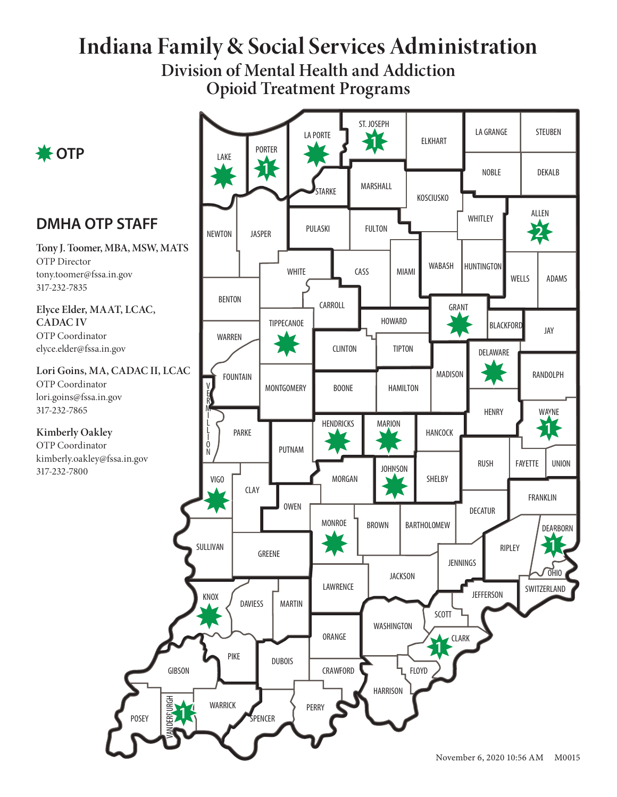# **Indiana Family & Social Services Administration**

**Division of Mental Health and Addiction Opioid Treatment Programs**